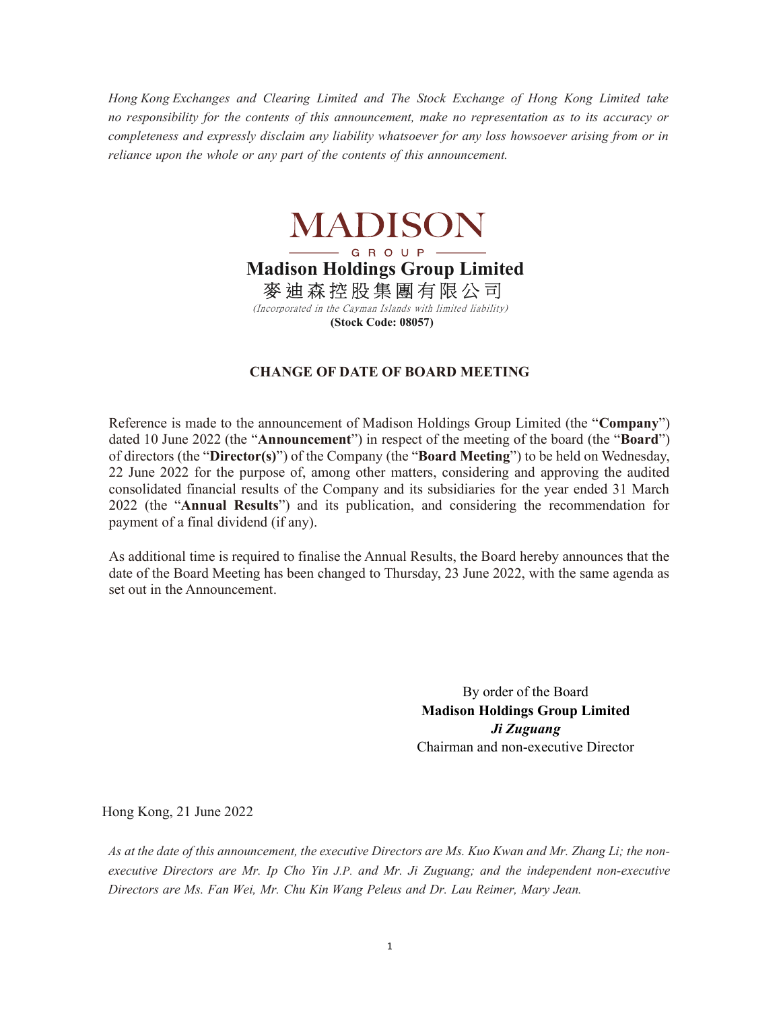Hong Kong Exchanges and Clearing Limited and The Stock Exchange of Hong Kong Limited take no responsibility for the contents of this announcement, make no representation as to its accuracy or completeness and expressly disclaim any liability whatsoever for any loss howsoever arising from or in reliance upon the whole or any part of the contents of this announcement.



## Madison Holdings Group Limited

麥 迪 森 控 股 集 團 有 限 公 司

 (Incorporated in the Cayman Islands with limited liability) (Stock Code: 08057)

## CHANGE OF DATE OF BOARD MEETING

Reference is made to the announcement of Madison Holdings Group Limited (the "Company") dated 10 June 2022 (the "Announcement") in respect of the meeting of the board (the "Board") of directors (the "Director(s)") of the Company (the "Board Meeting") to be held on Wednesday, 22 June 2022 for the purpose of, among other matters, considering and approving the audited consolidated financial results of the Company and its subsidiaries for the year ended 31 March 2022 (the "Annual Results") and its publication, and considering the recommendation for payment of a final dividend (if any).

As additional time is required to finalise the Annual Results, the Board hereby announces that the date of the Board Meeting has been changed to Thursday, 23 June 2022, with the same agenda as set out in the Announcement.

> By order of the Board Madison Holdings Group Limited Ji Zuguang Chairman and non-executive Director

Hong Kong, 21 June 2022

As at the date of this announcement, the executive Directors are Ms. Kuo Kwan and Mr. Zhang Li; the nonexecutive Directors are Mr. Ip Cho Yin J.P. and Mr. Ji Zuguang; and the independent non-executive Directors are Ms. Fan Wei, Mr. Chu Kin Wang Peleus and Dr. Lau Reimer, Mary Jean.